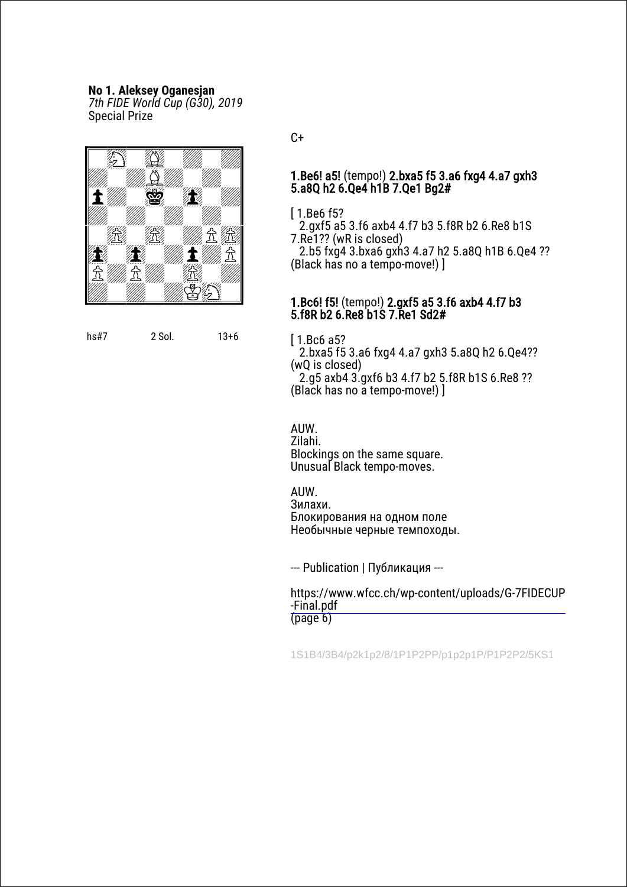# **No 1. Aleksey Oganesjan**

*7th FIDE World Cup (G30), 2019* Special Prize



hs#7 2 Sol. 13+6

 $C+$ 

## 1.Be6! a5! (tempo!) 2.bxa5 f5 3.a6 fxg4 4.a7 gxh3 5.a8Q h2 6.Qe4 h1B 7.Qe1 Bg2#

[ 1.Be6 f5?

2.gxf5 a5 3.f6 axb4 4.f7 b3 5.f8R b2 6.Re8 b1S 7.Re1?? (wR is closed)

2.b5 fxg4 3.bxa6 gxh3 4.a7 h2 5.a8Q h1B 6.Qe4 ?? (Black has no a tempo-move!) ]

## 1.Bc6! f5! (tempo!) 2.gxf5 a5 3.f6 axb4 4.f7 b3 5.f8R b2 6.Re8 b1S 7.Re1 Sd2#

[ 1.Bc6 a5?

2.bxa5 f5 3.a6 fxg4 4.a7 gxh3 5.a8Q h2 6.Qe4?? (wQ is closed)

2.g5 axb4 3.gxf6 b3 4.f7 b2 5.f8R b1S 6.Re8 ?? (Black has no a tempo-move!) ]

AUW.

Zilahi. Blockings on the same square. Unusual Black tempo-moves.

**AIIW** Зилахи. Блокирования на одном поле Необычные черные темпоходы.

--- Publication | Публикация ---

[https://www.wfcc.ch/wp-content/uploads/G-7FIDECUP](https://www.wfcc.ch/wp-content/uploads/G-7FIDECUP-Final.pdf) -Final.pdf  $(p \text{age } 6)$ 

1S1B4/3B4/p2k1p2/8/1P1P2PP/p1p2p1P/P1P2P2/5KS1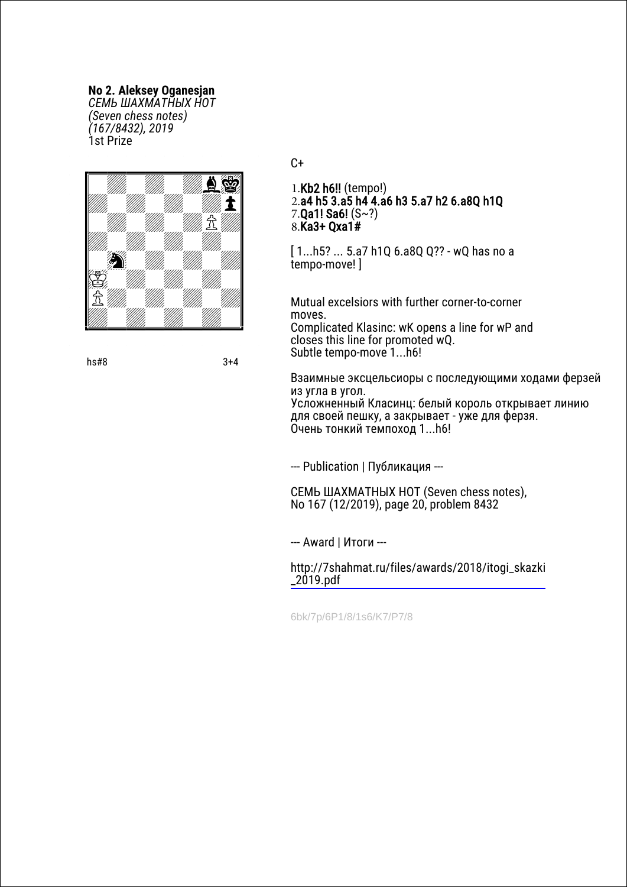**No 2. Aleksey Oganesjan**

*СЕМЬ ШАХМАТНЫХ НОТ (Seven chess notes) (167/8432), 2019* 1st Prize



 $hs#8$  3+4

#### $C+$

1.Kb2 h6!! (tempo!) 2.a4 h5 3.a5 h4 4.a6 h3 5.a7 h2 6.a8Q h1Q 7.Qa1! Sa6! (S~?) 8.Ka3+ Qxa1#

[ 1...h5? ... 5.a7 h1Q 6.a8Q Q?? - wQ has no a tempo-move! ]

Mutual excelsiors with further corner-to-corner moves.

Complicated Klasinc: wK opens a line for wP and closes this line for promoted wQ. Subtle tempo-move 1...h6!

Взаимные эксцельсиоры с последующими ходами ферзей из угла в угол. Усложненный Класинц: белый король открывает линию для своей пешку, а закрывает - уже для ферзя. Очень тонкий темпоход 1...h6!

--- Publication | Публикация ---

СЕМЬ ШАХМАТНЫХ НОТ (Seven chess notes), No 167 (12/2019), page 20, problem 8432

--- Award | Итоги ---

[http://7shahmat.ru/files/awards/2018/itogi\\_skazki](http://7shahmat.ru/files/awards/2018/itogi_skazki_2019.pdf) \_2019.pdf

6bk/7p/6P1/8/1s6/K7/P7/8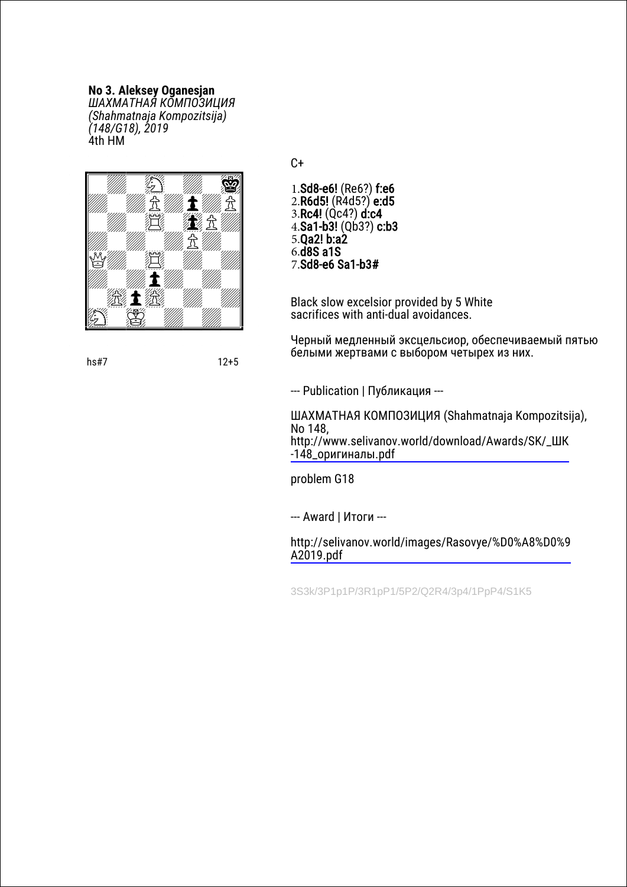## **No 3. Aleksey Oganesjan**

*ШАХМАТНАЯ КОМПОЗИЦИЯ (Shahmatnaja Kompozitsija) (148/G18), 2019* 4th HM



 $C+$ 

1.Sd8-e6! (Re6?) f:e6 2.R6d5! (R4d5?) e:d5 3.Rc4! (Qc4?) d:c4  $4.$ Sa1-b3! (Qb3?) c:b3 5.Qa2! b:a2 6.d8S a1S 7.Sd8-e6 Sa1-b3#

Black slow excelsior provided by 5 White sacrifices with anti-dual avoidances.

Черный медленный эксцельсиор, обеспечиваемый пятью белыми жертвами с выбором четырех из них.

--- Publication | Публикация ---

ШАХМАТНАЯ КОМПОЗИЦИЯ (Shahmatnaja Kompozitsija), No 148, [http://www.selivanov.world/download/Awards/SK/\\_ШК](http://www.selivanov.world/download/Awards/SK/_%D0%A8%D0%9A-148_%D0%BE%D1%80%D0%B8%D0%B3%D0%B8%D0%BD%D0%B0%D0%BB%D1%8B.pdf) -148\_оригиналы.pdf

problem G18

--- Award | Итоги ---

[http://selivanov.world/images/Rasovye/%D0%A8%D0%9](http://selivanov.world/images/Rasovye/%D0%A8%D0%9A2019.pdf) A2019.pdf

3S3k/3P1p1P/3R1pP1/5P2/Q2R4/3p4/1PpP4/S1K5

hs#7 12+5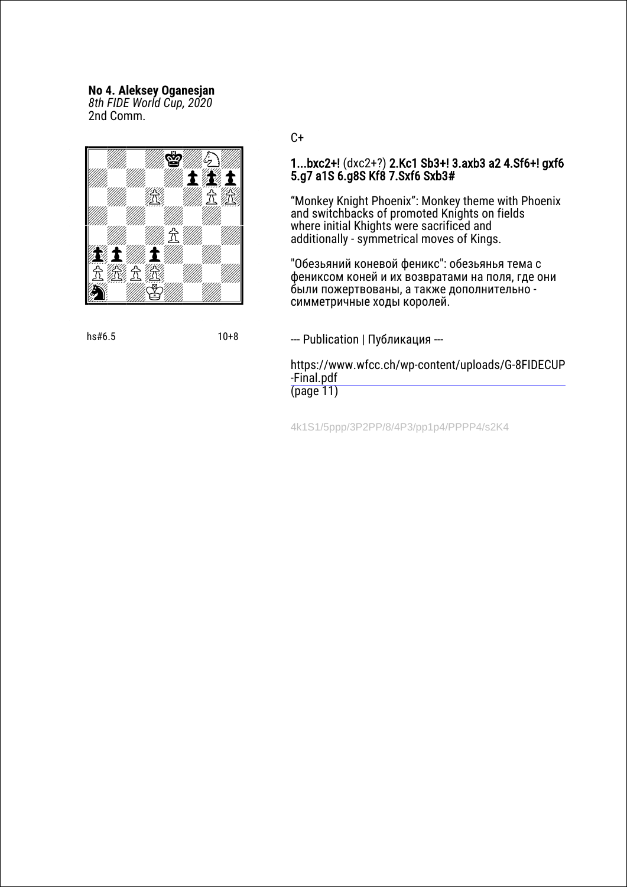# **No 4. Aleksey Oganesjan**

*8th FIDE World Cup, 2020* 2nd Сomm.



hs#6.5 10+8

 $C+$ 

## 1...bxc2+! (dxc2+?) 2.Kc1 Sb3+! 3.axb3 a2 4.Sf6+! gxf6 5.g7 a1S 6.g8S Kf8 7.Sxf6 Sxb3#

"Monkey Knight Phoenix": Monkey theme with Phoenix and switchbacks of promoted Knights on fields where initial Khights were sacrificed and additionally - symmetrical moves of Kings.

"Обезьяний коневой феникс": обезьянья тема с фениксом коней и их возвратами на поля, где они были пожертвованы, а также дополнительно симметричные ходы королей.

#### --- Publication | Публикация ---

[https://www.wfcc.ch/wp-content/uploads/G-8FIDECUP](https://www.wfcc.ch/wp-content/uploads/G-8FIDECUP-Final.pdf) -Final.pdf (page 11)

4k1S1/5ppp/3P2PP/8/4P3/pp1p4/PPPP4/s2K4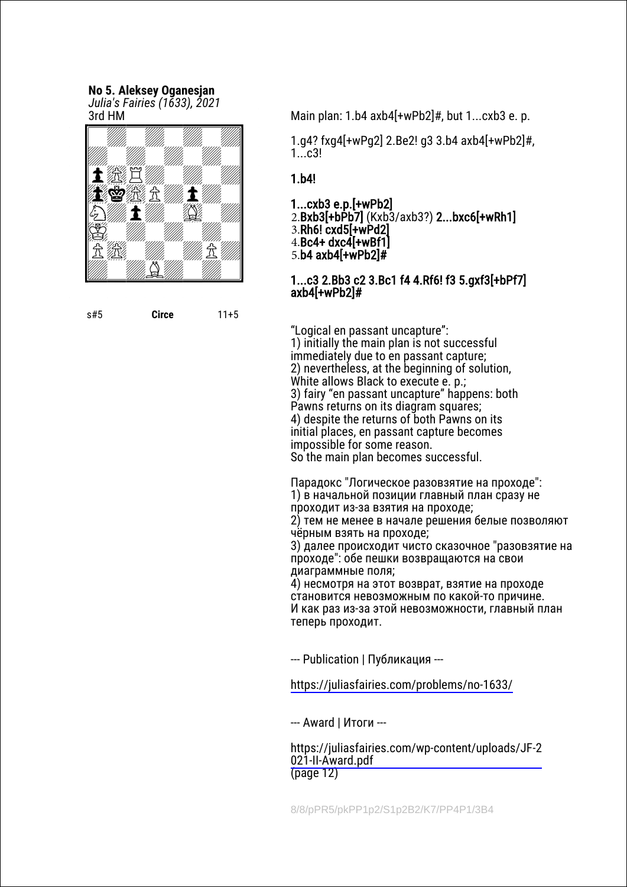#### **No 5. Aleksey Oganesjan** *Julia's Fairies (1633), 2021* 3rd HM



s#5 **Circe** 11+5

Main plan: 1.b4 axb4[+wPb2]#, but 1...cxb3 e. p.

1.g4? fxg4[+wPg2] 2.Be2! g3 3.b4 axb4[+wPb2]#,  $1...c3!$ 

# 1.b4!

1...cxb3 e.p.[+wPb2]

2.Bxb3[+bPb7] (Kxb3/axb3?) 2...bxc6[+wRh1]

3.Rh6! cxd5[+wPd2]

4.Bc4+ dxc4[+wBf1]

5.b4 axb4[+wPb2]#

## 1...c3 2.Bb3 c2 3.Bc1 f4 4.Rf6! f3 5.gxf3[+bPf7] axb4[+wPb2]#

"Logical en passant uncapture": 1) initially the main plan is not successful immediately due to en passant capture; 2) nevertheless, at the beginning of solution, White allows Black to execute e. p.; 3) fairy "en passant uncapture" happens: both Pawns returns on its diagram squares; 4) despite the returns of both Pawns on its initial places, en passant capture becomes impossible for some reason. So the main plan becomes successful.

Парадокс "Логическое разовзятие на проходе": 1) в начальной позиции главный план сразу не проходит из-за взятия на проходе; 2) тем не менее в начале решения белые позволяют

чёрным взять на проходе; 3) далее происходит чисто сказочное "разовзятие на проходе": обе пешки возвращаются на свои диаграммные поля;

4) несмотря на этот возврат, взятие на проходе становится невозможным по какой-то причине. И как раз из-за этой невозможности, главный план теперь проходит.

--- Publication | Публикация ---

<https://juliasfairies.com/problems/no-1633/>

--- Award | Итоги ---

[https://juliasfairies.com/wp-content/uploads/JF-2](https://juliasfairies.com/wp-content/uploads/JF-2021-II-Award.pdf) 021-II-Award.pdf (page 12)